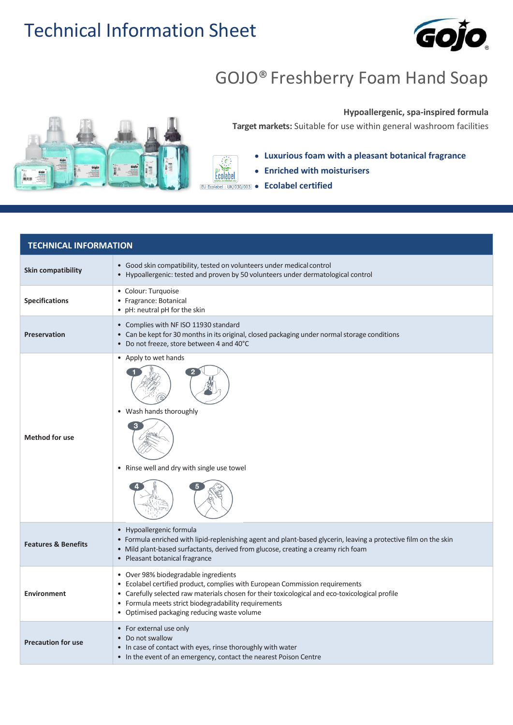## Technical Information Sheet



## GOJO® Freshberry Foam Hand Soap



## **Hypoallergenic, spa-inspired formula**

**Target markets:** Suitable for use within general washroom facilities

**Luxurious foam with a pleasant botanical fragrance**

- **Enriched with moisturisers**
- **Ecolabel certified**

 $\{\epsilon\}$ Ecolabel

| <b>TECHNICAL INFORMATION</b>   |                                                                                                                                                                                                                                                                                                                                |  |
|--------------------------------|--------------------------------------------------------------------------------------------------------------------------------------------------------------------------------------------------------------------------------------------------------------------------------------------------------------------------------|--|
| <b>Skin compatibility</b>      | • Good skin compatibility, tested on volunteers under medical control<br>• Hypoallergenic: tested and proven by 50 volunteers under dermatological control                                                                                                                                                                     |  |
| <b>Specifications</b>          | • Colour: Turquoise<br>• Fragrance: Botanical<br>• pH: neutral pH for the skin                                                                                                                                                                                                                                                 |  |
| <b>Preservation</b>            | • Complies with NF ISO 11930 standard<br>• Can be kept for 30 months in its original, closed packaging under normal storage conditions<br>• Do not freeze, store between 4 and 40°C                                                                                                                                            |  |
| <b>Method for use</b>          | • Apply to wet hands<br>• Wash hands thoroughly<br>• Rinse well and dry with single use towel                                                                                                                                                                                                                                  |  |
| <b>Features &amp; Benefits</b> | • Hypoallergenic formula<br>• Formula enriched with lipid-replenishing agent and plant-based glycerin, leaving a protective film on the skin<br>• Mild plant-based surfactants, derived from glucose, creating a creamy rich foam<br>• Pleasant botanical fragrance                                                            |  |
| <b>Environment</b>             | • Over 98% biodegradable ingredients<br>• Ecolabel certified product, complies with European Commission requirements<br>• Carefully selected raw materials chosen for their toxicological and eco-toxicological profile<br>• Formula meets strict biodegradability requirements<br>• Optimised packaging reducing waste volume |  |
| <b>Precaution for use</b>      | • For external use only<br>• Do not swallow<br>• In case of contact with eyes, rinse thoroughly with water<br>• In the event of an emergency, contact the nearest Poison Centre                                                                                                                                                |  |